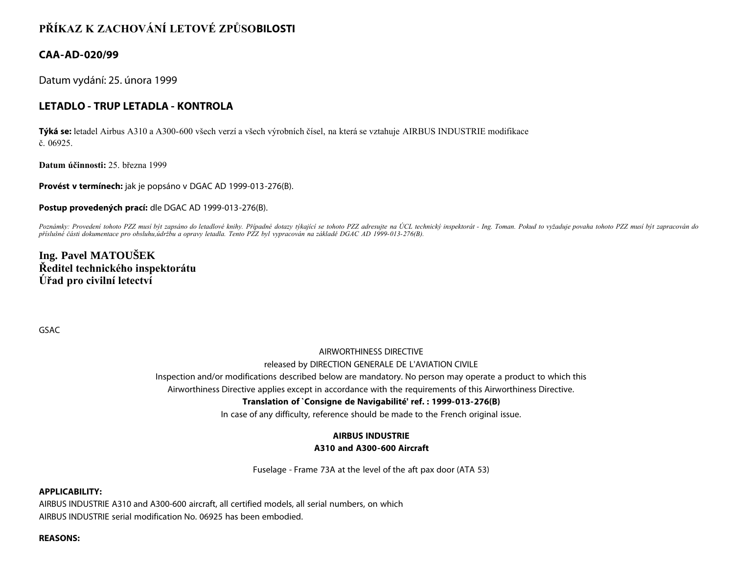# **PŘÍKAZ K ZACHOVÁNÍ LETOVÉ ZPŮSOBILOSTI**

# **CAA-AD-020/99**

Datum vydání: 25. února 1999

# **LETADLO - TRUP LETADLA - KONTROLA**

**Týká se:** letadel Airbus A310 a A300-600 všech verzí a všech výrobních čísel, na která se vztahuje AIRBUS INDUSTRIE modifikace č. 06925.

**Datum účinnosti:** 25. března 1999

**Provést v termínech:** jak je popsáno v DGAC AD 1999-013-276(B).

**Postup provedených prací:** dle DGAC AD 1999-013-276(B).

Poznámky: Provedení tohoto PZZ musí být zapsáno do letadlové knihy. Případné dotazy týkající se tohoto PZZ adresujte na ÚCL technický inspektorát - Ing. Toman. Pokud to vyžaduje povaha tohoto PZZ musí být zapracován do *příslušné části dokumentace pro obsluhu,údržbu a opravy letadla. Tento PZZ byl vypracován na základě DGAC AD 1999-013-276(B).*

**Ing. Pavel MATOUŠEK Ředitel technického inspektorátu Úřad pro civilní letectví**

GSAC

### AIRWORTHINESS DIRECTIVE

#### released by DIRECTION GENERALE DE L'AVIATION CIVILE

Inspection and/or modifications described below are mandatory. No person may operate a product to which this

Airworthiness Directive applies except in accordance with the requirements of this Airworthiness Directive.

### **Translation of `Consigne de Navigabilité' ref. : 1999-013-276(B)**

In case of any difficulty, reference should be made to the French original issue.

### **AIRBUS INDUSTRIE**

### **A310 and A300-600 Aircraft**

Fuselage - Frame 73A at the level of the aft pax door (ATA 53)

#### **APPLICABILITY:**

AIRBUS INDUSTRIE A310 and A300-600 aircraft, all certified models, all serial numbers, on which AIRBUS INDUSTRIE serial modification No. 06925 has been embodied.

#### **REASONS:**